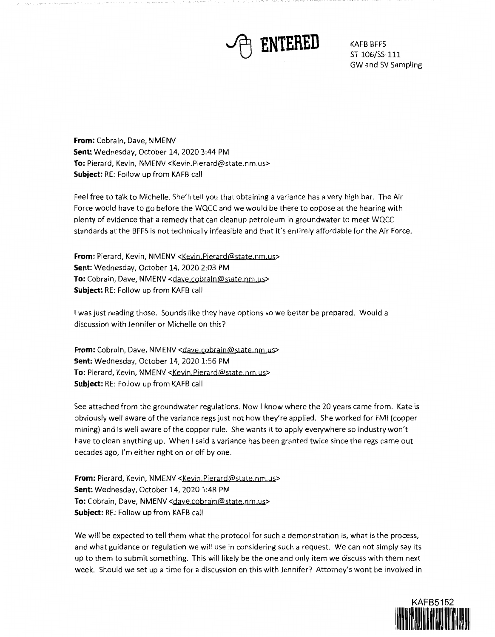

ST-106/SS-111 GW and SV Sampling

**From:** Cobrain, Dave, NMENV **Sent:** Wednesday, October 14, 2020 3:44 PM **To:** Pierard, Kevin, NMENV <Kevin.Pierard@state.nm.us> **Subject:** RE: Follow up from KAFB call

Feel free to talk to Michelle. She'll tell you that obtaining a variance has a very high bar. The Air Force would have to go before the WQCC and we would be there to oppose at the hearing with plenty of evidence that a remedy that can cleanup petroleum in groundwater to meet WQCC standards at the BFFS is not technically infeasible and that it's entirely affordable for the Air Force.

**From:** Pierard, Kevin, NMENV <Kevin.Pierard@state.nm.us> **Sent:** Wednesday, October 14, 2020 2:03 PM To: Cobrain, Dave, NMENV <dave.cobrain@state.nm.us> **Subject:** RE: Follow up from KAFB call

I was just reading those. Sounds like they have options so we better be prepared. Would a discussion with Jennifer or Michelle on this?

From: Cobrain, Dave, NMENV <dave.cobrain@state.nm.us> **Sent:** Wednesday, October 14, 2020 1:56 PM To: Pierard, Kevin, NMENV <Kevin Pierard@state.nm.us> **Subject:** RE: Follow up from KAFB call

See attached from the groundwater regulations. Now I know where the 20 years came from. Kate is obviously well aware of the variance regs just not how they're applied. She worked for FMI (copper mining) and is well aware of the copper rule. She wants it to apply everywhere so industry won't have to clean anything up. When I said a variance has been granted twice since the regs came out decades ago, I'm either right on or off by one.

**From:** Pierard, Kevin, NMENV <Kevin.Pierard@state.nm.us> **Sent:** Wednesday, October 14, 2020 1:48 PM **To:** Cobrain, Dave, NMENV <dave.cobrain@state.nm.us> **Subject:** RE: Follow up from KAFB call

We will be expected to tell them what the protocol for such a demonstration is, what is the process, and what guidance or regulation we will use in considering such a request. We can not simply say its up to them to submit something. This will likely be the one and only item we discuss with them next week. Should we set up a time for a discussion on this with Jennifer? Attorney's wont be involved in

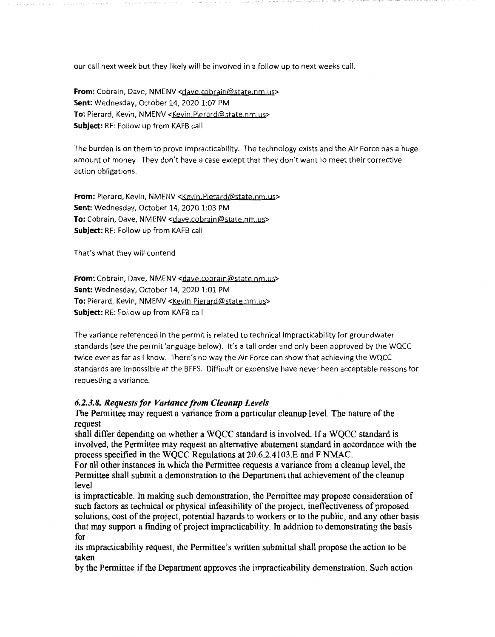our call next week but they likely will be involved in a follow up to next weeks call.

**From:** Cobrain, Dave, NMENV <dave.cobrain@state.nm.us> **Sent:** Wednesday, October 14, 2020 1:07 PM To: Pierard, Kevin, NMENV <Kevin.Pierard@state.nm.us> **Subject:** RE: Follow up from KAFB call

The burden is on them to prove impracticability. The technology exists and the Air Force has a huge amount of money. They don't have a case except that they don't want to meet their corrective action obligations.

**From:** Pierard, Kevin, NMENV <Keyin Pierard@state.nm.us> **Sent:** Wednesday, October 14, 2020 1:03 PM **To:** Cobrain, Dave, NMENV <daye cobrain@state.nm.us> **Subject:** RE: Follow up from KAFB call

That's what they will contend

From: Cobrain, Dave, NMENV <dave.cobrain@state.nm.us> **Sent:** Wednesday, October 14, 2020 1:01 PM To: Pierard, Kevin, NMENV <Kevin.Pierard@state.nm.us> **Subject:** RE: Follow up from KAFB call

The variance referenced in the permit is related to technical impracticability for groundwater standards (see the permit language below). It's a tall order and only been approved by the WQCC twice ever as far as I know. There's no way the Air Force can show that achieving the WQCC standards are impossible at the BFFS. Difficult or expensive have never been acceptable reasons for requesting a variance.

## *6.2.3.8. Requests for Variance from Cleanup Levels*

The Permittee may request a variance from a particular cleanup level. The nature of the request

shall differ depending on whether a WQCC standard is involved. If a WQCC standard is involved, the Permittee may request an alternative abatement standard in accordance with the process specified in the WQCC Regulations at 20.6.2.4103.E and F NMAC.

For all other instances in which the Permittee requests a variance from a cleanup level, the Permittee shall submit a demonstration to the Department that achievement of the cleanup level

is impracticable. In making such demonstration, the Permittee may propose consideration of such factors as technical or physical infeasibility of the project, ineffectiveness of proposed solutions, cost of the project, potential hazards to workers or to the public, and any other basis that may support a finding of project impracticability. In addition to demonstrating the basis for

its impracticability request, the Permittee's written submittal shall propose the action to be taken

by the Permittee if the Department approves the impracticability demonstration. Such action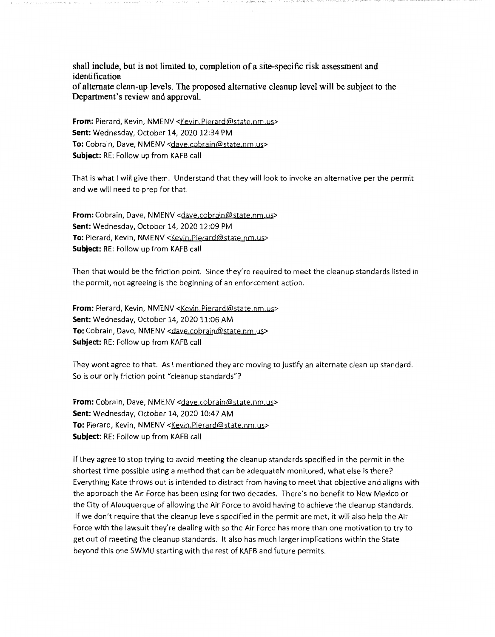shall include, but is not limited to, completion of a site-specific risk assessment and identification of alternate clean-up levels. The proposed alternative cleanup level will be subject to the Department's review and approval.

**From:** Pierard, Kevin, NMENV <Kevin, Pierard@state.nm.us> **Sent:** Wednesday, October 14, 2020 12:34 PM To: Cobrain, Dave, NMENV <daye.cobrain@state.nm.us> **Subject:** RE: Follow up from KAFB call

That is what I will give them. Understand that they will look to invoke an alternative per the permit and we will need to prep for that.

**From:** Cobrain, Dave, NMENV <dave.cobrain@state.nm.us> **Sent:** Wednesday, October 14, 2020 12:09 PM **To:** Pierard, Kevin, NMENV <Keyjn Pierard@state nm.us> **Subject:** RE: Follow up from KAFB call

Then that would be the friction point. Since they're required to meet the cleanup standards listed in the permit, not agreeing is the beginning of an enforcement action.

**From:** Pierard, Kevin, NMENV <Kevin.Pierard@state.nm.us> **Sent:** Wednesday, October 14, 2020 11:06 AM To: Cobrain, Dave, NMENV <dave.cobrain@state.nm.us> **Subject:** RE: Follow up from KAFB call

They wont agree to that. As I mentioned they are moving to justify an alternate clean up standard. So is our only friction point "cleanup standards"?

From: Cobrain, Dave, NMENV <dave.cobrain@state.nm.us> **Sent:** Wednesday, October 14, 2020 10:47 AM To: Pierard, Kevin, NMENV <Kevin.Pierard@state.nm.us> **Subject:** RE: Follow up from KAFB call

If they agree to stop trying to avoid meeting the cleanup standards specified in the permit in the shortest time possible using a method that can be adequately monitored, what else is there? Everything Kate throws out is intended to distract from having to meet that objective and aligns with the approach the Air Force has been using for two decades. There's no benefit to New Mexico or the City of Albuquerque of allowing the Air Force to avoid having to achieve the cleanup standards. If we don't require that the cleanup levels specified in the permit are met, it will also help the Air Force with the lawsuit they're dealing with so the Air Force has more than one motivation to try to get out of meeting the cleanup standards. It also has much larger implications within the State beyond this one SWMU starting with the rest of KAFB and future permits.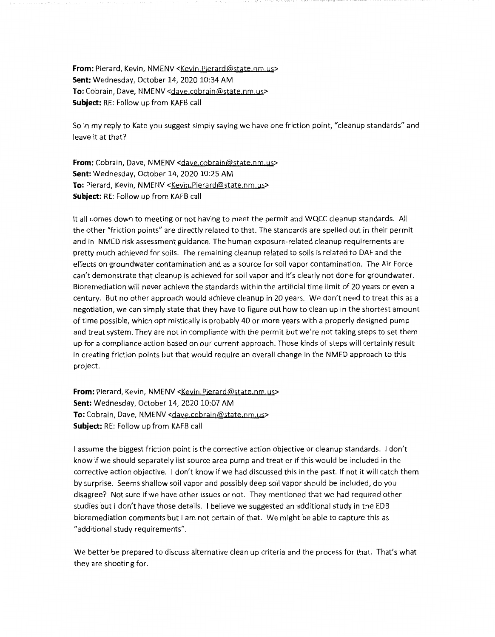**From:** Pierard, Kevin, NMENV <Kevin.Pierard@state.nm.us> **Sent:** Wednesday, October 14, 2020 10:34 AM To: Cobrain, Dave, NMENV <dave.cobrain@state.nm.us> **Subject:** RE: Follow up from KAFB call

So in my reply to Kate you suggest simply saying we have one friction point, "cleanup standards" and leave it at that?

From: Cobrain, Dave, NMENV <dave.cobrain@state.nm.us> **Sent:** Wednesday, October 14, 2020 10:25 AM To: Pierard, Kevin, NMENV <Kevin.Pierard@state.nm.us> **Subject:** RE: Follow up from KAFB call

It all comes down to meeting or not having to meet the permit and WQCC cleanup standards. All the other "friction points" are directly related to that. The standards are spelled out in their permit and in NMED risk assessment guidance. The human exposure-related cleanup requirements are pretty much achieved for soils. The remaining cleanup related to soils is related to OAF and the effects on groundwater contamination and as a source for soil vapor contamination. The Air Force can't demonstrate that cleanup is achieved for soil vapor and it's clearly not done for groundwater. Bioremediation will never achieve the standards within the artificial time limit of 20 years or even a century. But no other approach would achieve cleanup in 20 years. We don't need to treat this as a negotiation, we can simply state that they have to figure out how to clean up in the shortest amount of time possible, which optimistically is probably 40 or more years with a properly designed pump and treat system. They are not in compliance with the permit but we're not taking steps to set them up for a compliance action based on our current approach. Those kinds of steps will certainly result in creating friction points but that would require an overall change in the NMED approach to this project.

**From:** Pierard, Kevin, NMENV <Kevin.Pierard@state.nm.us> **Sent:** Wednesday, October 14, 2020 10:07 AM **To:** Cobrain, Dave, NMENV <dave.cobrain@state.nm.us> **Subject:** RE: Follow up from KAFB call

I assume the biggest friction point is the corrective action objective or cleanup standards. I don't know if we should separately list source area pump and treat or if this would be included in the corrective action objective. I don't know if we had discussed this in the past. If not it will catch them by surprise. Seems shallow soil vapor and possibly deep soil vapor should be included, do you disagree? Not sure if we have other issues or not. They mentioned that we had required other studies but I don't have those details. I believe we suggested an additional study in the EDB bioremediation comments but I am not certain of that. We might be able to capture this as "additional study requirements".

We better be prepared to discuss alternative clean up criteria and the process for that. That's what they are shooting for.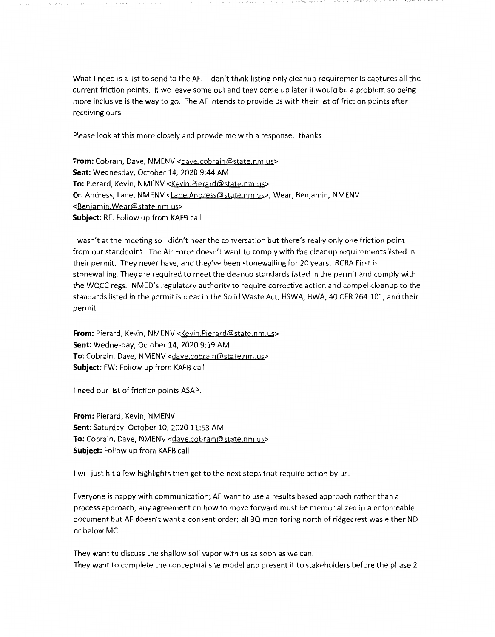What I need is a list to send to the AF. I don't think listing only cleanup requirements captures all the current friction points. If we leave some out and they come up later it would be a problem so being more inclusive is the way to go. The AF intends to provide us with their list of friction points after receiving ours.

Please look at this more closely and provide me with a response. thanks

**From:** Cobrain, Dave, NMENV <dave.cobrain@state.nm.us> **Sent:** Wednesday, October 14, 2020 9:44 AM To: Pierard, Kevin, NMENV <Kevin.Pierard@state.nm.us> Cc: Andress, Lane, NMENV <Lane.Andress@state.nm.us>; Wear, Benjamin, NMENV <Benjamin.Wear@state.nm.us> **Subject:** RE: Follow up from KAFB call

I wasn't at the meeting so I didn't hear the conversation but there's really only one friction point from our standpoint. The Air Force doesn't want to comply with the cleanup requirements listed in their permit. They never have, and they've been stonewalling for 20 years. RCRA First is stonewalling. They are required to meet the cleanup standards listed in the permit and comply with the WQCC regs. NMED's regulatory authority to require corrective action and compel cleanup to the standards listed in the permit is clear in the Solid Waste Act, HSWA, HWA, 40 CFR 264.101, and their permit.

**From:** Pierard, Kevin, NMENV <Kevin.Pierard@state.nm.us> **Sent:** Wednesday, October 14, 2020 9:19 AM To: Cobrain, Dave, NMENV <dave.cobrain@state.nm.us> **Subject:** FW: Follow up from KAFB call

I need our list of friction points ASAP.

**From:** Pierard, Kevin, NMENV **Sent:** Saturday, October 10, 2020 11:53 AM To: Cobrain, Dave, NMENV <dave.cobrain@state.nm.us> **Subject:** Follow up from KAFB call

I will just hit a few highlights then get to the next steps that require action by us.

Everyone is happy with communication; AF want to use a results based approach rather than a process approach; any agreement on how to move forward must be memorialized in a enforceable document but AF doesn't want a consent order; all 3Q monitoring north of ridgecrest was either ND or below MCL.

They want to discuss the shallow soil vapor with us as soon as we can. They want to complete the conceptual site model and present it to stakeholders before the phase 2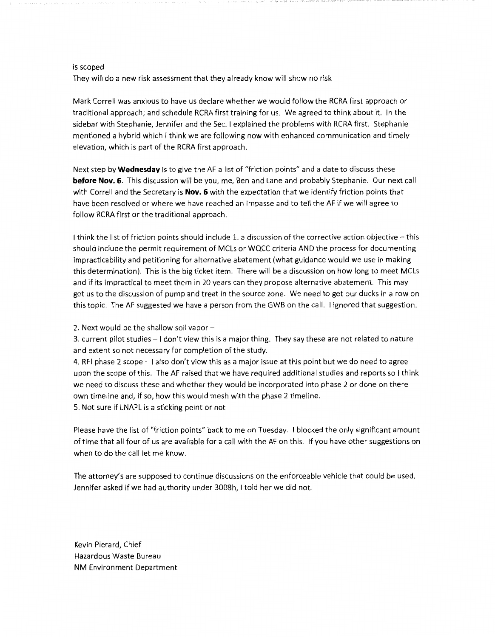## is scoped

They will do a new risk assessment that they already know will show no risk

Mark Correll was anxious to have us declare whether we would follow the RCRA first approach or traditional approach; and schedule RCRA first training for us. We agreed to think about it. In the sidebar with Stephanie, Jennifer and the Sec. I explained the problems with RCRA first. Stephanie mentioned a hybrid which I think we are following now with enhanced communication and timely elevation, which is part of the RCRA first approach.

Next step by **Wednesday** is to give the AF a list of "friction points" and a date to discuss these **before Nov. 6.** This discussion will be you, me, Ben and Lane and probably Stephanie. Our next call with Correll and the Secretary is **Nov. 6** with the expectation that we identify friction points that have been resolved or where we have reached an impasse and to tell the AF if we will agree to follow RCRA first or the traditional approach.

I think the list of friction points should include 1. a discussion of the corrective action objective - this should include the permit requirement of MCLs or WQCC criteria AND the process for documenting impracticability and petitioning for alternative abatement (what guidance would we use in making this determination). This is the big ticket item. There will be a discussion on how long to meet MCLs and if its impractical to meet them in 20 years can they propose alternative abatement. This may get us to the discussion of pump and treat in the source zone. We need to get our ducks in a row on this topic. The AF suggested we have a person from the GWB on the call. I ignored that suggestion.

2. Next would be the shallow soil vapor -

3. current pilot studies - I don't view this is a major thing. They say these are not related to nature and extent so not necessary for completion of the study.

4. RFI phase 2 scope - I also don't view this as a major issue at this point but we do need to agree upon the scope of this. The AF raised that we have required additional studies and reports so I think we need to discuss these and whether they would be incorporated into phase 2 or done on there own timeline and, if so, how this would mesh with the phase 2 timeline. 5. Not sure if LNAPL is a sticking point or not

Please have the list of "friction points" back to me on Tuesday. I blocked the only significant amount of time that all four of us are available for a call with the AF on this. If you have other suggestions on when to do the call let me know.

The attorney's are supposed to continue discussions on the enforceable vehicle that could be used. Jennifer asked if we had authority under 3008h, I told her we did not.

Kevin Pierard, Chief Hazardous Waste Bureau **NM** Environment Department